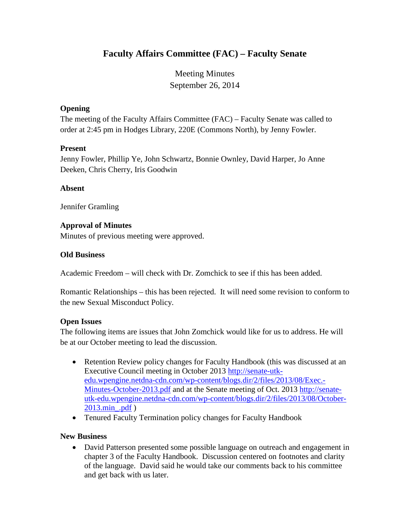# **Faculty Affairs Committee (FAC) – Faculty Senate**

Meeting Minutes September 26, 2014

# **Opening**

The meeting of the Faculty Affairs Committee (FAC) – Faculty Senate was called to order at 2:45 pm in Hodges Library, 220E (Commons North), by Jenny Fowler.

## **Present**

Jenny Fowler, Phillip Ye, John Schwartz, Bonnie Ownley, David Harper, Jo Anne Deeken, Chris Cherry, Iris Goodwin

## **Absent**

Jennifer Gramling

## **Approval of Minutes**

Minutes of previous meeting were approved.

#### **Old Business**

Academic Freedom – will check with Dr. Zomchick to see if this has been added.

Romantic Relationships – this has been rejected. It will need some revision to conform to the new Sexual Misconduct Policy.

#### **Open Issues**

The following items are issues that John Zomchick would like for us to address. He will be at our October meeting to lead the discussion.

- Retention Review policy changes for Faculty Handbook (this was discussed at an Executive Council meeting in October 2013 [http://senate-utk](http://senate-utk-edu.wpengine.netdna-cdn.com/wp-content/blogs.dir/2/files/2013/08/Exec.-Minutes-October-2013.pdf)[edu.wpengine.netdna-cdn.com/wp-content/blogs.dir/2/files/2013/08/Exec.-](http://senate-utk-edu.wpengine.netdna-cdn.com/wp-content/blogs.dir/2/files/2013/08/Exec.-Minutes-October-2013.pdf) [Minutes-October-2013.pdf](http://senate-utk-edu.wpengine.netdna-cdn.com/wp-content/blogs.dir/2/files/2013/08/Exec.-Minutes-October-2013.pdf) and at the Senate meeting of Oct. 2013 [http://senate](http://senate-utk-edu.wpengine.netdna-cdn.com/wp-content/blogs.dir/2/files/2013/08/October-2013.min_.pdf)[utk-edu.wpengine.netdna-cdn.com/wp-content/blogs.dir/2/files/2013/08/October-](http://senate-utk-edu.wpengine.netdna-cdn.com/wp-content/blogs.dir/2/files/2013/08/October-2013.min_.pdf)[2013.min\\_.pdf](http://senate-utk-edu.wpengine.netdna-cdn.com/wp-content/blogs.dir/2/files/2013/08/October-2013.min_.pdf) )
- Tenured Faculty Termination policy changes for Faculty Handbook

# **New Business**

• David Patterson presented some possible language on outreach and engagement in chapter 3 of the Faculty Handbook. Discussion centered on footnotes and clarity of the language. David said he would take our comments back to his committee and get back with us later.